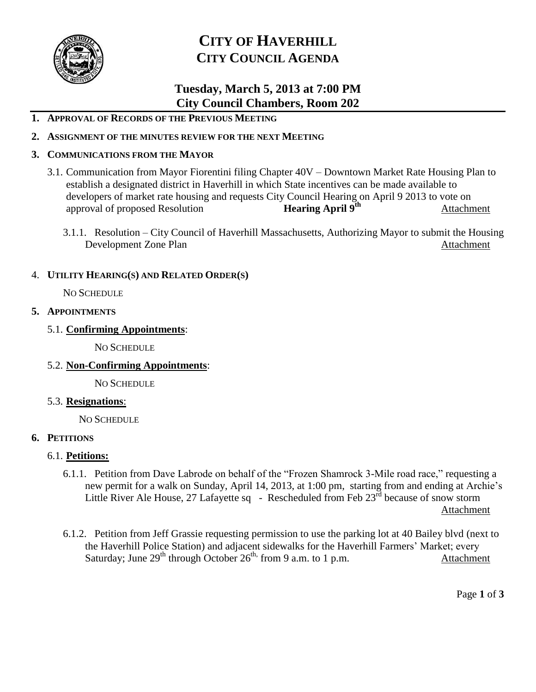

# **CITY OF HAVERHILL CITY COUNCIL AGENDA**

# **Tuesday, March 5, 2013 at 7:00 PM City Council Chambers, Room 202**

# **1. APPROVAL OF RECORDS OF THE PREVIOUS MEETING**

#### **2. ASSIGNMENT OF THE MINUTES REVIEW FOR THE NEXT MEETING**

#### **3. COMMUNICATIONS FROM THE MAYOR**

- 3.1. Communication from Mayor Fiorentini filing Chapter 40V Downtown Market Rate Housing Plan to establish a designated district in Haverhill in which State incentives can be made available to developers of market rate housing and requests City Council Hearing on April 9 2013 to vote on approval of proposed Resolution **Hearing April 9<sup>th</sup>** Attachn approval of proposed Resolution **Hearing April 9th** Attachment
	- 3.1.1. Resolution City Council of Haverhill Massachusetts, Authorizing Mayor to submit the Housing Development Zone Plan Attachment

#### 4. **UTILITY HEARING(S) AND RELATED ORDER(S)**

NO SCHEDULE

#### **5. APPOINTMENTS**

#### 5.1. **Confirming Appointments**:

NO SCHEDULE

5.2. **Non-Confirming Appointments**:

NO SCHEDULE

#### 5.3. **Resignations**:

NO SCHEDULE

## **6. PETITIONS**

## 6.1. **Petitions:**

- 6.1.1. Petition from Dave Labrode on behalf of the "Frozen Shamrock 3-Mile road race," requesting a new permit for a walk on Sunday, April 14, 2013, at 1:00 pm, starting from and ending at Archie's Little River Ale House, 27 Lafayette sq - Rescheduled from Feb  $23^{\overrightarrow{rd}}$  because of snow storm Attachment
- 6.1.2. Petition from Jeff Grassie requesting permission to use the parking lot at 40 Bailey blvd (next to the Haverhill Police Station) and adjacent sidewalks for the Haverhill Farmers' Market; every Saturday; June 29<sup>th</sup> through October 26<sup>th,</sup> from 9 a.m. to 1 p.m. Attachment

Page **1** of **3**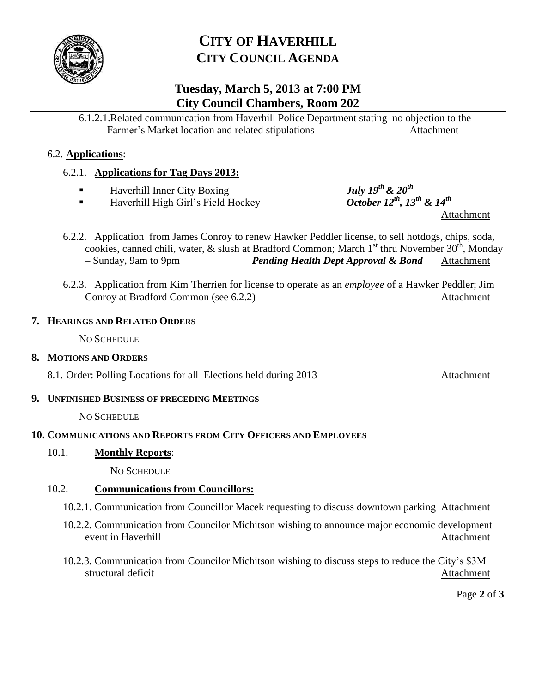

# **CITY OF HAVERHILL CITY COUNCIL AGENDA**

# **Tuesday, March 5, 2013 at 7:00 PM City Council Chambers, Room 202**

6.1.2.1.Related communication from Haverhill Police Department stating no objection to the Farmer's Market location and related stipulations Attachment

## 6.2. **Applications**:

# 6.2.1. **Applications for Tag Days 2013:**

- Haverhill Inner City Boxing *July 19th & 20th*
- **Haverhill High Girl's Field Hockey**

*October*  $12^{th}$ ,  $13^{th}$  &  $14^{th}$ 

Attachment

- 6.2.2. Application from James Conroy to renew Hawker Peddler license, to sell hotdogs, chips, soda, cookies, canned chili, water, & slush at Bradford Common; March  $1<sup>st</sup>$  thru November 30<sup>th</sup>, Monday – Sunday, 9am to 9pm *Pending Health Dept Approval & Bond* Attachment
- 6.2.3. Application from Kim Therrien for license to operate as an *employee* of a Hawker Peddler; Jim Conroy at Bradford Common (see 6.2.2) Attachment

## **7. HEARINGS AND RELATED ORDERS**

NO SCHEDULE

## **8. MOTIONS AND ORDERS**

8.1. Order: Polling Locations for all Elections held during 2013 Attachment

## **9. UNFINISHED BUSINESS OF PRECEDING MEETINGS**

NO SCHEDULE

## **10. COMMUNICATIONS AND REPORTS FROM CITY OFFICERS AND EMPLOYEES**

## 10.1. **Monthly Reports**:

NO SCHEDULE

## 10.2. **Communications from Councillors:**

- 10.2.1. Communication from Councillor Macek requesting to discuss downtown parking Attachment
- 10.2.2. Communication from Councilor Michitson wishing to announce major economic development event in Haverhill Attachment
- 10.2.3. Communication from Councilor Michitson wishing to discuss steps to reduce the City's \$3M structural deficit Attachment

Page **2** of **3**